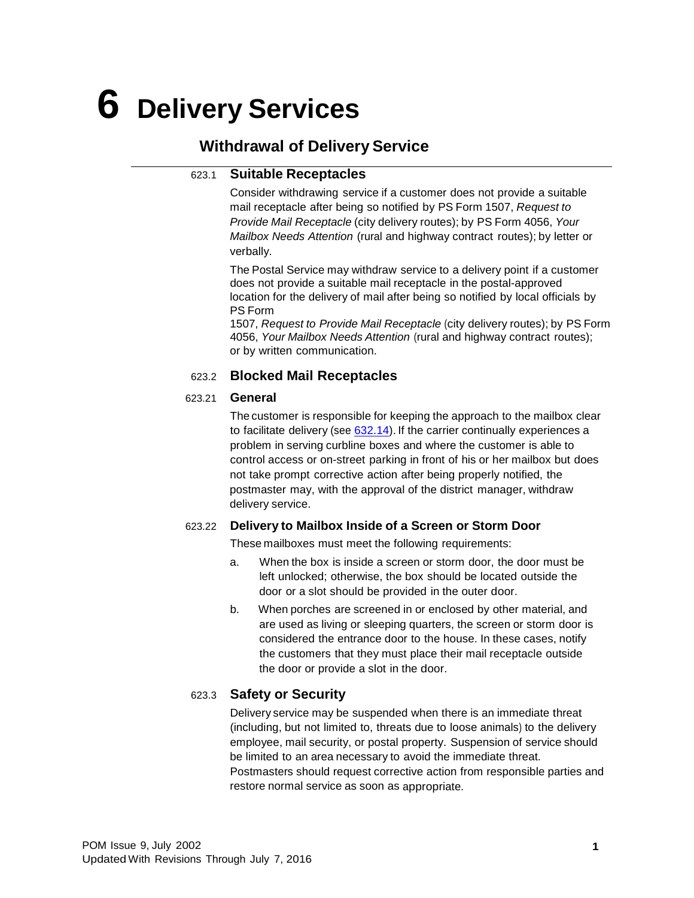# **6 Delivery Services**

## **Withdrawal of Delivery Service**

#### 623.1 **Suitable Receptacles**

Consider withdrawing service if a customer does not provide a suitable mail receptacle after being so notified by PS Form 1507, *Request to Provide Mail Receptacle* (city delivery routes); by PS Form 4056, *Your Mailbox Needs Attention* (rural and highway contract routes); by letter or verbally.

The Postal Service may withdraw service to a delivery point if a customer does not provide a suitable mail receptacle in the postal-approved location for the delivery of mail after being so notified by local officials by PS Form

1507, *Request to Provide Mail Receptacle* (city delivery routes); by PS Form 4056, *Your Mailbox Needs Attention* (rural and highway contract routes); or by written communication.

#### 623.2 **Blocked Mail Receptacles**

#### 623.21 **General**

The customer is responsible for keeping the approach to the mailbox clear to facilitate delivery (see  $632.14$ ). If the carrier continually experiences a problem in serving curbline boxes and where the customer is able to control access or on-street parking in front of his or her mailbox but does not take prompt corrective action after being properly notified, the postmaster may, with the approval of the district manager, withdraw delivery service.

#### 623.22 **Delivery to Mailbox Inside of a Screen or Storm Door**

These mailboxes must meet the following requirements:

- a. When the box is inside a screen or storm door, the door must be left unlocked; otherwise, the box should be located outside the door or a slot should be provided in the outer door.
- b. When porches are screened in or enclosed by other material, and are used as living or sleeping quarters, the screen or storm door is considered the entrance door to the house. In these cases, notify the customers that they must place their mail receptacle outside the door or provide a slot in the door.

### 623.3 **Safety or Security**

Delivery service may be suspended when there is an immediate threat (including, but not limited to, threats due to loose animals) to the delivery employee, mail security, or postal property. Suspension of service should be limited to an area necessary to avoid the immediate threat. Postmasters should request corrective action from responsible parties and restore normal service as soon as appropriate.